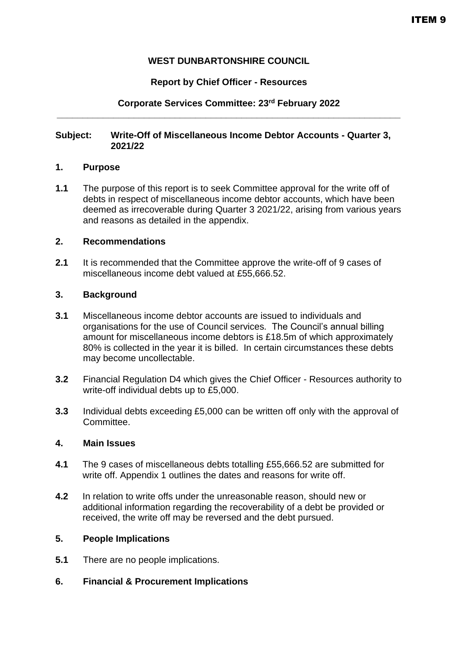# **WEST DUNBARTONSHIRE COUNCIL**

## **Report by Chief Officer - Resources**

## **Corporate Services Committee: 23rd February 2022 \_\_\_\_\_\_\_\_\_\_\_\_\_\_\_\_\_\_\_\_\_\_\_\_\_\_\_\_\_\_\_\_\_\_\_\_\_\_\_\_\_\_\_\_\_\_\_\_\_\_\_\_\_\_\_\_\_\_\_\_\_\_\_\_\_\_\_**

### **Subject: Write-Off of Miscellaneous Income Debtor Accounts - Quarter 3, 2021/22**

### **1. Purpose**

**1.1** The purpose of this report is to seek Committee approval for the write off of debts in respect of miscellaneous income debtor accounts, which have been deemed as irrecoverable during Quarter 3 2021/22, arising from various years and reasons as detailed in the appendix.

## **2. Recommendations**

**2.1** It is recommended that the Committee approve the write-off of 9 cases of miscellaneous income debt valued at £55,666.52.

### **3. Background**

- **3.1** Miscellaneous income debtor accounts are issued to individuals and organisations for the use of Council services. The Council's annual billing amount for miscellaneous income debtors is £18.5m of which approximately 80% is collected in the year it is billed. In certain circumstances these debts may become uncollectable.
- **3.2** Financial Regulation D4 which gives the Chief Officer Resources authority to write-off individual debts up to £5,000.
- **3.3** Individual debts exceeding £5,000 can be written off only with the approval of Committee.

### **4. Main Issues**

- **4.1** The 9 cases of miscellaneous debts totalling £55,666.52 are submitted for write off. Appendix 1 outlines the dates and reasons for write off.
- **4.2** In relation to write offs under the unreasonable reason, should new or additional information regarding the recoverability of a debt be provided or received, the write off may be reversed and the debt pursued.

## **5. People Implications**

- **5.1** There are no people implications.
- **6. Financial & Procurement Implications**